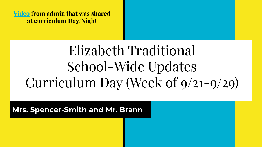**[Video](https://drive.google.com/file/d/1Du3gDuuymGewLzVk6TS0B2BZ41Ie53a4/view) from admin that was shared at curriculum Day/Night**

# School-Wide Updates Elizabeth Traditional Curriculum Day (Week of 9/21-9/29)

**Mrs. Spencer-Smith and Mr. Brann**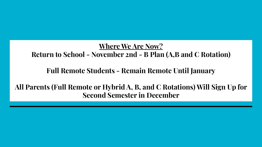**Where We Are Now? Return to School - November 2nd - B Plan (A,B and C Rotation)** 

**Full Remote Students - Remain Remote Until January**

**All Parents (Full Remote or Hybrid A, B, and C Rotations) Will Sign Up for Second Semester in December**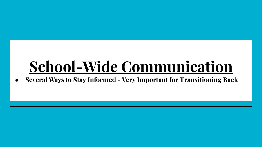# **School-Wide Communication**

**● Several Ways to Stay Informed - Very Important for Transitioning Back**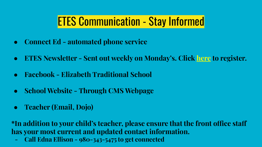### ETES Communication - Stay Informed

- **● Connect Ed automated phone service**
- **● ETES Newsletter Sent out weekly on Monday's. Click [here](https://k12.us5.list-manage.com/subscribe?u=4e571f7a58c61e274933ed50d&id=e7d7241058) to register.**
- **● Facebook Elizabeth Traditional School**
- **● School Website Through CMS Webpage**
- **● Teacher (Email, Dojo)**

**\*In addition to your child's teacher, please ensure that the front office staff has your most current and updated contact information.**

**- Call Edna Ellison - 980-343-5475 to get connected**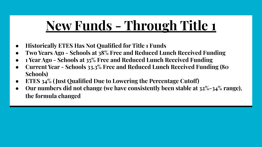# **New Funds - Through Title 1**

- **● Historically ETES Has Not Qualified for Title 1 Funds**
- **● Two Years Ago Schools at 38% Free and Reduced Lunch Received Funding**
- **● 1 Year Ago Schools at 35% Free and Reduced Lunch Received Funding**
- **● Current Year Schools 33.3% Free and Reduced Lunch Received Funding (80 Schools)**
- **● ETES 34% ( Just Qualified Due to Lowering the Percentage Cutoff)**
- **● Our numbers did not change (we have consistently been stable at 32%-34% range), the formula changed**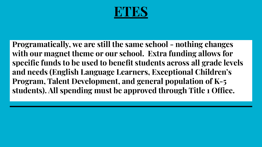

**Programatically, we are still the same school - nothing changes with our magnet theme or our school. Extra funding allows for specific funds to be used to benefit students across all grade levels and needs (English Language Learners, Exceptional Children's Program, Talent Development, and general population of K-5 students). All spending must be approved through Title 1 Office.**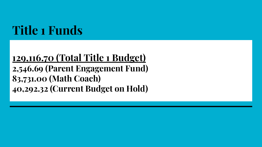# **Title 1 Funds**

#### **129,116.70 (Total Title 1 Budget) 2,546.69 (Parent Engagement Fund) 83,731.00 (Math Coach) 40,292.32 (Current Budget on Hold)**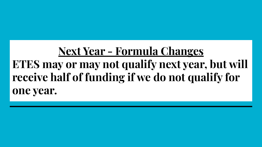## **Next Year - Formula Changes ETES may or may not qualify next year, but will receive half of funding if we do not qualify for one year.**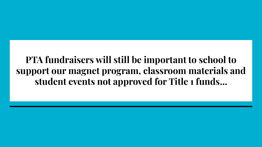#### **PTA fundraisers will still be important to school to support our magnet program, classroom materials and student events not approved for Title 1 funds...**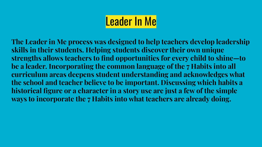**The Leader in Me process was designed to help teachers develop leadership skills in their students. Helping students discover their own unique strengths allows teachers to find opportunities for every child to shine—to be a leader. Incorporating the common language of the 7 Habits into all curriculum areas deepens student understanding and acknowledges what the school and teacher believe to be important. Discussing which habits a historical figure or a character in a story use are just a few of the simple ways to incorporate the 7 Habits into what teachers are already doing.**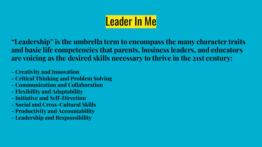**"Leadership" is the umbrella term to encompass the many character traits and basic life competencies that parents, business leaders, and educators are voicing as the desired skills necessary to thrive in the 21st century:**

- **Creativity and Innovation**
- **Critical Thinking and Problem Solving**
- **Communication and Collaboration**
- **Flexibility and Adaptability**
- **Initiative and Self-Direction**
- **Social and Cross-Cultural Skills**
- **Productivity and Accountability**
- **Leadership and Responsibility**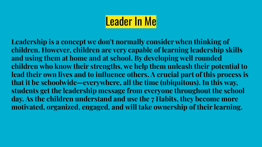**Leadership is a concept we don't normally consider when thinking of children. However, children are very capable of learning leadership skills and using them at home and at school. By developing well rounded children who know their strengths, we help them unleash their potential to lead their own lives and to influence others. A crucial part of this process is that it be schoolwide—everywhere, all the time (ubiquitous). In this way, students get the leadership message from everyone throughout the school day. As the children understand and use the 7 Habits, they become more motivated, organized, engaged, and will take ownership of their learning.**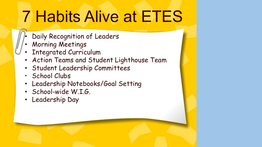# 7 Habits Alive at ETES

- Daily Recognition of Leaders
- Morning Meetings
- Integrated Curriculum
- Action Teams and Student Lighthouse Team
- Student Leadership Committees
- School Clubs
- Leadership Notebooks/Goal Setting
- School-wide W.I.G.
- Leadership Day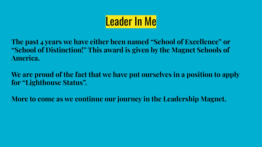**The past 4 years we have either been named "School of Excellence" or "School of Distinction!" This award is given by the Magnet Schools of America.**

**We are proud of the fact that we have put ourselves in a position to apply for "Lighthouse Status".**

**More to come as we continue our journey in the Leadership Magnet.**